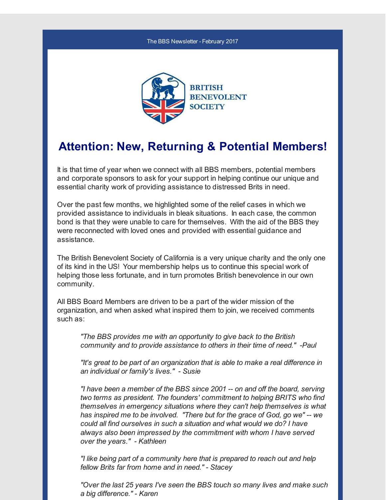#### The BBS Newsletter - February 2017



### **Attention: New, Returning & Potential Members!**

It is that time of year when we connect with all BBS members, potential members and corporate sponsors to ask for your support in helping continue our unique and essential charity work of providing assistance to distressed Brits in need.

Over the past few months, we highlighted some of the relief cases in which we provided assistance to individuals in bleak situations. In each case, the common bond is that they were unable to care for themselves. With the aid of the BBS they were reconnected with loved ones and provided with essential guidance and assistance.

The British Benevolent Society of California is a very unique charity and the only one of its kind in the US! Your membership helps us to continue this special work of helping those less fortunate, and in turn promotes British benevolence in our own community.

All BBS Board Members are driven to be a part of the wider mission of the organization, and when asked what inspired them to join, we received comments such as:

*"The BBS provides me with an opportunity to give back to the British community and to provide assistance to others in their time of need." -Paul*

*"It's great to be part of an organization that is able to make a real difference in an individual or family's lives." - Susie*

*"I have been a member of the BBS since 2001 -- on and off the board, serving two terms as president. The founders' commitment to helping BRITS who find themselves in emergency situations where they can't help themselves is what has inspired me to be involved. "There but for the grace of God, go we" -- we could all find ourselves in such a situation and what would we do? I have always also been impressed by the commitment with whom I have served over the years." - Kathleen*

*"I like being part of a community here that is prepared to reach out and help fellow Brits far from home and in need." - Stacey*

*"Over the last 25 years I've seen the BBS touch so many lives and make such a big difference." - Karen*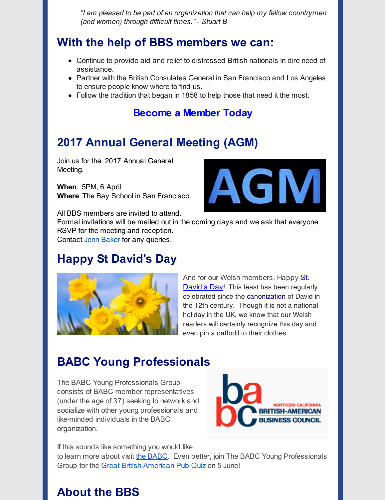*"I am pleased to be part of an organization that can help my fellow countrymen (and women) through difficult times." - Stuart B*

## **With the help of BBS members we can:**

- Continue to provide aid and relief to distressed British nationals in dire need of assistance.
- Partner with the British Consulates General in San Francisco and Los Angeles to ensure people know where to find us.
- Follow the tradition that began in 1858 to help those that need it the most.

#### **[Become](http://r20.rs6.net/tn.jsp?f=001UM3TI9O3fYgzHhOJlKg5AmzrKgD9200yXsFWyMrl-EUpQB-y9zBMwkbpJ5_s1AvHfN31S5S5D45x35GbkVM0gHFaEZ6COBO51PzzApOp5ms1BGjcIXGouQBa6MoizTb6GSYRTm2KPUG7C68LXyDlUUg40TxSMYk5dBMRESqoyOcPs7ULT2Ljyv4iPty-eYsBGA2v3iSG5xAcGgXGsnXhCf7TN9SZEjEW&c=&ch=) a Member Today**

# **2017 Annual General Meeting (AGM)**

Join us for the 2017 Annual General Meeting.

**When**: 5PM, 6 April **Where**: The Bay School in San Francisco





Formal invitations will be mailed out in the coming days and we ask that everyone RSVP for the meeting and reception. Contact Jenn [Baker](mailto:jennifer.baker@britishbenevolentsociety.org) for any queries.

# **Happy St David's Day**



And for our Welsh [members,](http://r20.rs6.net/tn.jsp?f=001UM3TI9O3fYgzHhOJlKg5AmzrKgD9200yXsFWyMrl-EUpQB-y9zBMwqq6k6YbDPFVE9150U4JhiKOFmdamkKfiXFOYq_MukH68QUY8i-bVTqHUPsvZdCPl0xBOvRnSSWImjYfwrIuSkCBTjlrj-bE4zECpaYN45p9gRbsfSCtxljgIqSIoP_eBm-ROIW8KvgbcVi4wizzojjJ3w3EeuPCaXhJSEIdKic56wCXM_zoR7U=&c=&ch=) Happy St. **David's Day!** This feast has been regularly celebrated since the [canonization](http://r20.rs6.net/tn.jsp?f=001UM3TI9O3fYgzHhOJlKg5AmzrKgD9200yXsFWyMrl-EUpQB-y9zBMwqq6k6YbDPFV07vuSADFeH5iWdyGWJtsaHk1mBjfxKNyrG0HL8WmoQrMTk--4nxNidfWCGR1zBoJ4VBTSg6Yo6dL5CcvF49NJO3tp3FVFUCWIR4tGtJlBlL76foPBwroqnTZs52kHp99Ug3gzGvZkp4=&c=&ch=) of David in the 12th century. Though it is not a national holiday in the UK, we know that our Welsh readers will certainly recognize this day and even pin a daffodil to their clothes.

# **BABC Young Professionals**

The BABC Young Professionals Group consists of BABC member representatives (under the age of 37) seeking to network and socialize with other young professionals and like-minded individuals in the BABC organization.



If this sounds like something you would like

to learn more about visit the [BABC](http://r20.rs6.net/tn.jsp?f=001UM3TI9O3fYgzHhOJlKg5AmzrKgD9200yXsFWyMrl-EUpQB-y9zBMwqq6k6YbDPFVp404CJoWMzUfP3Px9wnY2ubAFM-dy03W7SY0lRgq9SWJ9S6K_VqO7GVt0Ltl6nKsKp7pNuqyCr1kO_TzJqF6ZOrcg3KWKmzF-7vb3z7Iazt_kNZlRrO3dJIruxBquuGX57kmiUXKI39dc5-TU0hIMw==&c=&ch=). Even better, join The BABC Young Professionals Group for the Great [British-American](http://r20.rs6.net/tn.jsp?f=001UM3TI9O3fYgzHhOJlKg5AmzrKgD9200yXsFWyMrl-EUpQB-y9zBMwqq6k6YbDPFV0DRD3lg92aSahitGRZ9ireQYKKeL7C74MUpff9FycCtOe-ZErUmaHM8f0q19IM8ic1dyYtPCHLQzg-iGHloE4gc2rwuS2LGBO64vcVVwBaRJOiSFqwhy5Qzy944Rx-ZYLzwBH0_S4-q-pSrEiHnpPcHuaZ4-Tks3B8skI-ODC93OdgUZc0C2hur8hBjEvOm_4cpYP55exl0bvkoLClUOYG9LL9oM560SXU_2JhlVRUIA3tV3r0mmww==&c=&ch=) Pub Quiz on 5 June!

## **About the BBS**